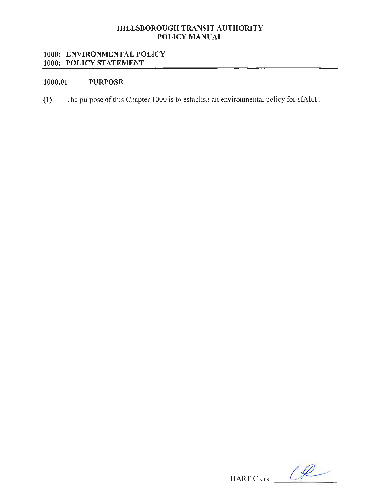## HILLSBOROUGH TRANSIT AUTHORITY POLICY MANUAL

## 1000: ENVIRONMENTAL POLICY 1000: POLICY STATEMENT

# 1000.01 PURPOSE

(1) The purpose of this Chapter 1000 is to establish an environmental policy for HART.

 $HART$  Clerk:  $\frac{1}{2}$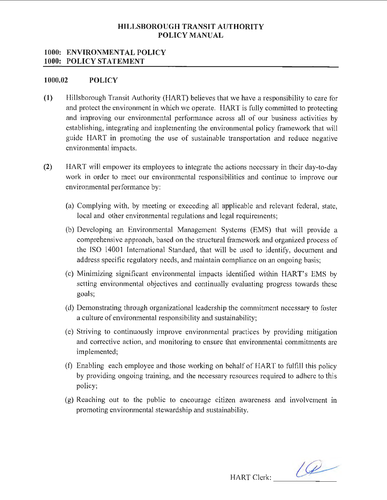### **HILLSBOROUGH TRANSIT AUTHORITY POLICY MANUAL**

#### **1000: ENVIRONMENTAL POLICY 1000: POLICY STATEMENT**

#### **1000.02 POLICY**

- **(1)** Hillsborough Transit Authority (HART) believes that we have a responsibility to care for and protect the environment in which we operate. HART is fully committed to protecting and improving our environmental performance across all of our business activities by establishing, integrating and implementing the environmental policy framework that will guide HART in promoting the use of sustainable transportation and reduce negative environmental impacts.
- **(2)** HART will empower its employees to integrate the actions necessary in their day-to-day work in order to meet our environmental responsibilities and continue to improve our environmental performance by:
	- (a) Complying with, by meeting or exceeding all applicable and relevant federal, state, local and other environmental regulations and legal requirements;
	- (b) Developing an Environmental Management Systems (EMS) that will provide a comprehensive approach, based on the structural framework and organized process of the ISO 14001 International Standard, that will be used to identify, document and address specific regulatory needs, and maintain compliance on an ongoing basis;
	- (c) Minimizing significant environmental impacts identified within HART's EMS by setting environmental objectives and continually evaluating progress towards these goals;
	- ( d) Demonstrating through organizational leadership the commitment necessary to foster a culture of environmental responsibility and sustainability;
	- (e) Striving to continuously improve environmental practices by providing mitigation and corrective action, and monitoring to ensure that environmental commitments are implemented;
	- (f) Enabling each employee and those working on behalf of HART to fulfill this policy by providing ongoing training, and the necessary resources required to adhere to this policy;
	- $(g)$  Reaching out to the public to encourage citizen awareness and involvement in promoting environmental stewardship and sustainability.

 $HART$  Clerk:  $\qquad \qquad \qquad \qquad$